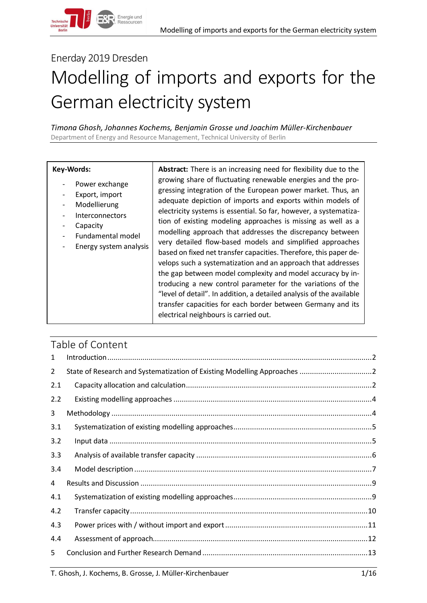# Enerday 2019 Dresden

# Modelling of imports and exports for the German electricity system

*Timona Ghosh, Johannes Kochems, Benjamin Grosse und Joachim Müller-Kirchenbauer* Department of Energy and Resource Management, Technical University of Berlin

#### **Key-Words:**

- Power exchange
- Export, import
- Modellierung
- **Interconnectors**
- **Capacity**
- Fundamental model
- Energy system analysis

**Abstract:** There is an increasing need for flexibility due to the growing share of fluctuating renewable energies and the progressing integration of the European power market. Thus, an adequate depiction of imports and exports within models of electricity systems is essential. So far, however, a systematization of existing modeling approaches is missing as well as a modelling approach that addresses the discrepancy between very detailed flow-based models and simplified approaches based on fixed net transfer capacities. Therefore, this paper develops such a systematization and an approach that addresses the gap between model complexity and model accuracy by introducing a new control parameter for the variations of the "level of detail". In addition, a detailed analysis of the available transfer capacities for each border between Germany and its electrical neighbours is carried out.

# Table of Content

| 1   |  |
|-----|--|
| 2   |  |
| 2.1 |  |
| 2.2 |  |
| 3   |  |
| 3.1 |  |
| 3.2 |  |
| 3.3 |  |
| 3.4 |  |
| 4   |  |
| 4.1 |  |
| 4.2 |  |
| 4.3 |  |
| 4.4 |  |
| 5.  |  |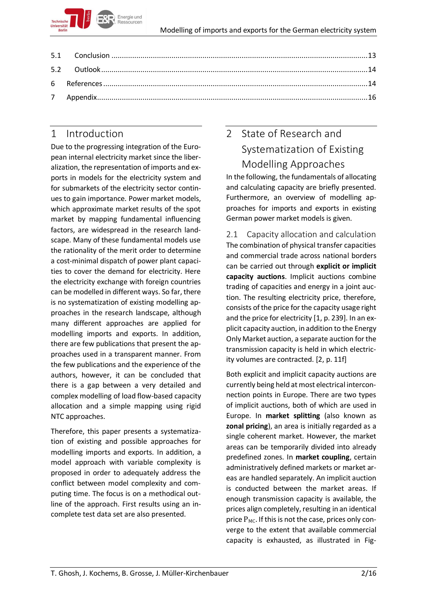

# <span id="page-1-0"></span>1 Introduction

Due to the progressing integration of the European internal electricity market since the liberalization, the representation of imports and exports in models for the electricity system and for submarkets of the electricity sector continues to gain importance. Power market models, which approximate market results of the spot market by mapping fundamental influencing factors, are widespread in the research landscape. Many of these fundamental models use the rationality of the merit order to determine a cost-minimal dispatch of power plant capacities to cover the demand for electricity. Here the electricity exchange with foreign countries can be modelled in different ways. So far, there is no systematization of existing modelling approaches in the research landscape, although many different approaches are applied for modelling imports and exports. In addition, there are few publications that present the approaches used in a transparent manner. From the few publications and the experience of the authors, however, it can be concluded that there is a gap between a very detailed and complex modelling of load flow-based capacity allocation and a simple mapping using rigid NTC approaches.

Therefore, this paper presents a systematization of existing and possible approaches for modelling imports and exports. In addition, a model approach with variable complexity is proposed in order to adequately address the conflict between model complexity and computing time. The focus is on a methodical outline of the approach. First results using an incomplete test data set are also presented.

# <span id="page-1-1"></span>2 State of Research and Systematization of Existing Modelling Approaches

In the following, the fundamentals of allocating and calculating capacity are briefly presented. Furthermore, an overview of modelling approaches for imports and exports in existing German power market models is given.

<span id="page-1-2"></span>2.1 Capacity allocation and calculation The combination of physical transfer capacities and commercial trade across national borders can be carried out through **explicit or implicit capacity auctions**. Implicit auctions combine trading of capacities and energy in a joint auction. The resulting electricity price, therefore, consists of the price for the capacity usage right and the price for electricity [1, p. 239]. In an explicit capacity auction, in addition to the Energy Only Market auction, a separate auction for the transmission capacity is held in which electricity volumes are contracted. [2, p. 11f]

Both explicit and implicit capacity auctions are currently being held at most electrical interconnection points in Europe. There are two types of implicit auctions, both of which are used in Europe. In **market splitting** (also known as **zonal pricing**), an area is initially regarded as a single coherent market. However, the market areas can be temporarily divided into already predefined zones. In **market coupling**, certain administratively defined markets or market areas are handled separately. An implicit auction is conducted between the market areas. If enough transmission capacity is available, the prices align completely, resulting in an identical price  $P_{MC}$ . If this is not the case, prices only converge to the extent that available commercial capacity is exhausted, as illustrated in Fig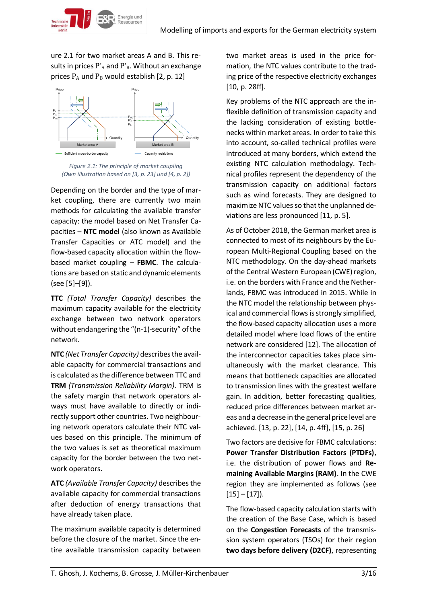ure 2.1 for two market areas A and B. This results in prices  $P'_{A}$  and  $P'_{B}$ . Without an exchange prices  $P_A$  und  $P_B$  would establish [2, p. 12]

Energie und





Depending on the border and the type of market coupling, there are currently two main methods for calculating the available transfer capacity: the model based on Net Transfer Capacities – **NTC model** (also known as Available Transfer Capacities or ATC model) and the flow-based capacity allocation within the flowbased market coupling – **FBMC**. The calculations are based on static and dynamic elements (see [5]–[9]).

**TTC** *(Total Transfer Capacity)* describes the maximum capacity available for the electricity exchange between two network operators without endangering the "(n-1)-security" of the network.

**NTC** *(Net Transfer Capacity)* describes the available capacity for commercial transactions and is calculated as the difference between TTC and **TRM** *(Transmission Reliability Margin).* TRM is the safety margin that network operators always must have available to directly or indirectly support other countries. Two neighbouring network operators calculate their NTC values based on this principle. The minimum of the two values is set as theoretical maximum capacity for the border between the two network operators.

**ATC** *(Available Transfer Capacity)* describes the available capacity for commercial transactions after deduction of energy transactions that have already taken place.

The maximum available capacity is determined before the closure of the market. Since the entire available transmission capacity between two market areas is used in the price formation, the NTC values contribute to the trading price of the respective electricity exchanges [10, p. 28ff].

Key problems of the NTC approach are the inflexible definition of transmission capacity and the lacking consideration of existing bottlenecks within market areas. In order to take this into account, so-called technical profiles were introduced at many borders, which extend the existing NTC calculation methodology. Technical profiles represent the dependency of the transmission capacity on additional factors such as wind forecasts. They are designed to maximize NTC values so that the unplanned deviations are less pronounced [11, p. 5].

As of October 2018, the German market area is connected to most of its neighbours by the European Multi-Regional Coupling based on the NTC methodology. On the day-ahead markets of the Central Western European (CWE) region, i.e. on the borders with France and the Netherlands, FBMC was introduced in 2015. While in the NTC model the relationship between physical and commercial flows is strongly simplified, the flow-based capacity allocation uses a more detailed model where load flows of the entire network are considered [12]. The allocation of the interconnector capacities takes place simultaneously with the market clearance. This means that bottleneck capacities are allocated to transmission lines with the greatest welfare gain. In addition, better forecasting qualities, reduced price differences between market areas and a decrease in the general price level are achieved. [13, p. 22], [14, p. 4ff], [15, p. 26]

Two factors are decisive for FBMC calculations: **Power Transfer Distribution Factors (PTDFs)**, i.e. the distribution of power flows and **Remaining Available Margins (RAM)**. In the CWE region they are implemented as follows (see  $[15] - [17]$ .

The flow-based capacity calculation starts with the creation of the Base Case, which is based on the **Congestion Forecasts** of the transmission system operators (TSOs) for their region **two days before delivery (D2CF)**, representing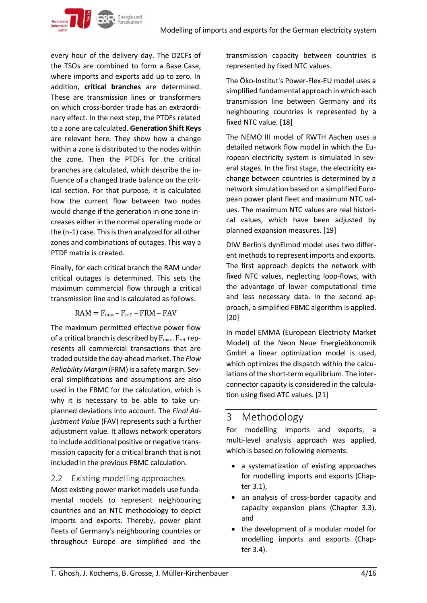every hour of the delivery day. The D2CFs of the TSOs are combined to form a Base Case, where imports and exports add up to zero. In addition, **critical branches** are determined. These are transmission lines or transformers on which cross-border trade has an extraordinary effect. In the next step, the PTDFs related to a zone are calculated. **Generation Shift Keys**  are relevant here. They show how a change within a zone is distributed to the nodes within the zone. Then the PTDFs for the critical branches are calculated, which describe the influence of a changed trade balance on the critical section. For that purpose, it is calculated how the current flow between two nodes would change if the generation in one zone increases either in the normal operating mode or the (n-1) case. This is then analyzed for all other zones and combinations of outages. This way a PTDF matrix is created.

Energie und

Finally, for each critical branch the RAM under critical outages is determined. This sets the maximum commercial flow through a critical transmission line and is calculated as follows:

$$
RAM = F_{max} - F_{ref} - FRM - FAV
$$

The maximum permitted effective power flow of a critical branch is described by  $F_{\text{max}}$ .  $F_{\text{ref}}$  represents all commercial transactions that are traded outside the day-ahead market. The *Flow Reliability Margin* (FRM) is a safety margin. Several simplifications and assumptions are also used in the FBMC for the calculation, which is why it is necessary to be able to take unplanned deviations into account. The *Final Adjustment Value* (FAV) represents such a further adjustment value. It allows network operators to include additional positive or negative transmission capacity for a critical branch that is not included in the previous FBMC calculation.

## <span id="page-3-0"></span>2.2 Existing modelling approaches

Most existing power market models use fundamental models to represent neighbouring countries and an NTC methodology to depict imports and exports. Thereby, power plant fleets of Germany's neighbouring countries or throughout Europe are simplified and the

transmission capacity between countries is represented by fixed NTC values.

The Öko-Institut's Power-Flex-EU model uses a simplified fundamental approach in which each transmission line between Germany and its neighbouring countries is represented by a fixed NTC value. [18]

The NEMO III model of RWTH Aachen uses a detailed network flow model in which the European electricity system is simulated in several stages. In the first stage, the electricity exchange between countries is determined by a network simulation based on a simplified European power plant fleet and maximum NTC values. The maximum NTC values are real historical values, which have been adjusted by planned expansion measures. [19]

DIW Berlin's dynElmod model uses two different methods to represent imports and exports. The first approach depicts the network with fixed NTC values, neglecting loop-flows, with the advantage of lower computational time and less necessary data. In the second approach, a simplified FBMC algorithm is applied. [20]

In model EMMA (European Electricity Market Model) of the Neon Neue Energieökonomik GmbH a linear optimization model is used, which optimizes the dispatch within the calculations of the short-term equilibrium. The interconnector capacity is considered in the calculation using fixed ATC values. [21]

# <span id="page-3-1"></span>3 Methodology

For modelling imports and exports, a multi-level analysis approach was applied, which is based on following elements:

- a systematization of existing approaches for modelling imports and exports (Chapter 3.1),
- an analysis of cross-border capacity and capacity expansion plans (Chapter 3.3), and
- the development of a modular model for modelling imports and exports (Chapter 3.4).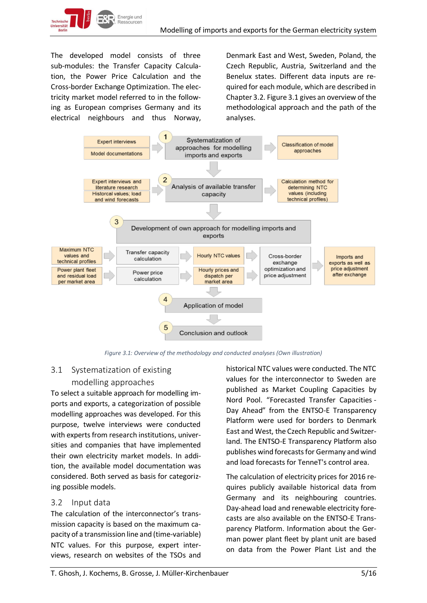

The developed model consists of three sub-modules: the Transfer Capacity Calculation, the Power Price Calculation and the Cross-border Exchange Optimization. The electricity market model referred to in the following as European comprises Germany and its electrical neighbours and thus Norway,

Denmark East and West, Sweden, Poland, the Czech Republic, Austria, Switzerland and the Benelux states. Different data inputs are required for each module, which are described in Chapter 3.2. Figure 3.1 gives an overview of the methodological approach and the path of the analyses.



*Figure 3.1: Overview of the methodology and conducted analyses (Own illustration)*

# <span id="page-4-0"></span>3.1 Systematization of existing modelling approaches

To select a suitable approach for modelling imports and exports, a categorization of possible modelling approaches was developed. For this purpose, twelve interviews were conducted with experts from research institutions, universities and companies that have implemented their own electricity market models. In addition, the available model documentation was considered. Both served as basis for categorizing possible models.

## <span id="page-4-1"></span>3.2 Input data

The calculation of the interconnector's transmission capacity is based on the maximum capacity of a transmission line and (time-variable) NTC values. For this purpose, expert interviews, research on websites of the TSOs and historical NTC values were conducted. The NTC values for the interconnector to Sweden are published as Market Coupling Capacities by Nord Pool. "Forecasted Transfer Capacities - Day Ahead" from the ENTSO-E Transparency Platform were used for borders to Denmark East and West, the Czech Republic and Switzerland. The ENTSO-E Transparency Platform also publishes wind forecasts for Germany and wind and load forecasts for TenneT's control area.

The calculation of electricity prices for 2016 requires publicly available historical data from Germany and its neighbouring countries. Day-ahead load and renewable electricity forecasts are also available on the ENTSO-E Transparency Platform. Information about the German power plant fleet by plant unit are based on data from the Power Plant List and the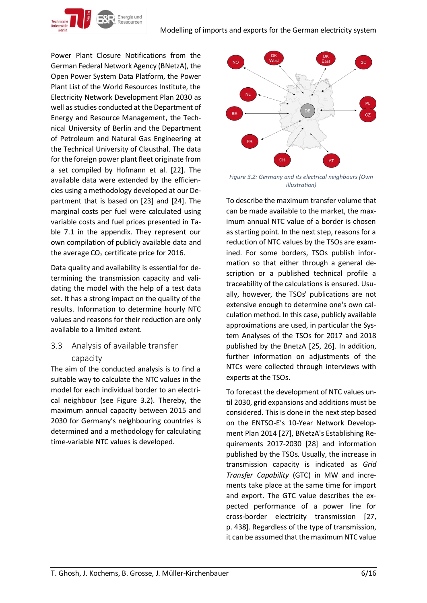Power Plant Closure Notifications from the German Federal Network Agency (BNetzA), the Open Power System Data Platform, the Power Plant List of the World Resources Institute, the Electricity Network Development Plan 2030 as well as studies conducted at the Department of Energy and Resource Management, the Technical University of Berlin and the Department of Petroleum and Natural Gas Engineering at the Technical University of Clausthal. The data for the foreign power plant fleet originate from a set compiled by Hofmann et al. [22]. The available data were extended by the efficiencies using a methodology developed at our Department that is based on [23] and [24]. The marginal costs per fuel were calculated using variable costs and fuel prices presented in Table 7.1 in the appendix. They represent our own compilation of publicly available data and the average  $CO<sub>2</sub>$  certificate price for 2016.

Energie und

Data quality and availability is essential for determining the transmission capacity and validating the model with the help of a test data set. It has a strong impact on the quality of the results. Information to determine hourly NTC values and reasons for their reduction are only available to a limited extent.

# <span id="page-5-0"></span>3.3 Analysis of available transfer capacity

The aim of the conducted analysis is to find a suitable way to calculate the NTC values in the model for each individual border to an electrical neighbour (see Figure 3.2). Thereby, the maximum annual capacity between 2015 and 2030 for Germany's neighbouring countries is determined and a methodology for calculating time-variable NTC values is developed.



*Figure 3.2: Germany and its electrical neighbours (Own illustration)*

To describe the maximum transfer volume that can be made available to the market, the maximum annual NTC value of a border is chosen as starting point. In the next step, reasons for a reduction of NTC values by the TSOs are examined. For some borders, TSOs publish information so that either through a general description or a published technical profile a traceability of the calculations is ensured. Usually, however, the TSOs' publications are not extensive enough to determine one's own calculation method. In this case, publicly available approximations are used, in particular the System Analyses of the TSOs for 2017 and 2018 published by the BnetzA [25, 26]. In addition, further information on adjustments of the NTCs were collected through interviews with experts at the TSOs.

To forecast the development of NTC values until 2030, grid expansions and additions must be considered. This is done in the next step based on the ENTSO-E's 10-Year Network Development Plan 2014 [27], BNetzA's Establishing Requirements 2017-2030 [28] and information published by the TSOs. Usually, the increase in transmission capacity is indicated as *Grid Transfer Capability* (GTC) in MW and increments take place at the same time for import and export. The GTC value describes the expected performance of a power line for cross-border electricity transmission [27, p. 438]. Regardless of the type of transmission, it can be assumed that the maximum NTC value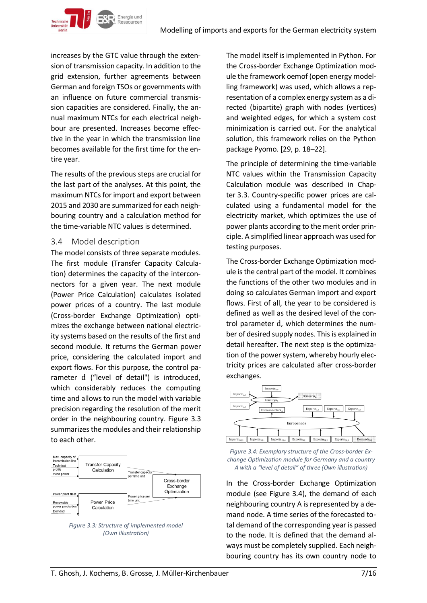increases by the GTC value through the extension of transmission capacity. In addition to the grid extension, further agreements between German and foreign TSOs or governments with an influence on future commercial transmission capacities are considered. Finally, the annual maximum NTCs for each electrical neighbour are presented. Increases become effective in the year in which the transmission line becomes available for the first time for the entire year.

The results of the previous steps are crucial for the last part of the analyses. At this point, the maximum NTCs for import and export between 2015 and 2030 are summarized for each neighbouring country and a calculation method for the time-variable NTC values is determined.

#### <span id="page-6-0"></span>3.4 Model description

The model consists of three separate modules. The first module (Transfer Capacity Calculation) determines the capacity of the interconnectors for a given year. The next module (Power Price Calculation) calculates isolated power prices of a country. The last module (Cross-border Exchange Optimization) optimizes the exchange between national electricity systems based on the results of the first and second module. It returns the German power price, considering the calculated import and export flows. For this purpose, the control parameter d ("level of detail") is introduced, which considerably reduces the computing time and allows to run the model with variable precision regarding the resolution of the merit order in the neighbouring country. Figure 3.3 summarizes the modules and their relationship to each other.



*Figure 3.3: Structure of implemented model (Own illustration)*

The model itself is implemented in Python. For the Cross-border Exchange Optimization module the framework oemof (open energy modelling framework) was used, which allows a representation of a complex energy system as a directed (bipartite) graph with nodes (vertices) and weighted edges, for which a system cost minimization is carried out. For the analytical solution, this framework relies on the Python package Pyomo. [29, p. 18–22].

The principle of determining the time-variable NTC values within the Transmission Capacity Calculation module was described in Chapter 3.3. Country-specific power prices are calculated using a fundamental model for the electricity market, which optimizes the use of power plants according to the merit order principle. A simplified linear approach was used for testing purposes.

The Cross-border Exchange Optimization module is the central part of the model. It combines the functions of the other two modules and in doing so calculates German import and export flows. First of all, the year to be considered is defined as well as the desired level of the control parameter d, which determines the number of desired supply nodes. This is explained in detail hereafter. The next step is the optimization of the power system, whereby hourly electricity prices are calculated after cross-border exchanges.



*Figure 3.4: Exemplary structure of the Cross-border Exchange Optimization module for Germany and a country A with a "level of detail" of three (Own illustration)*

In the Cross-border Exchange Optimization module (see Figure 3.4), the demand of each neighbouring country A is represented by a demand node. A time series of the forecasted total demand of the corresponding year is passed to the node. It is defined that the demand always must be completely supplied. Each neighbouring country has its own country node to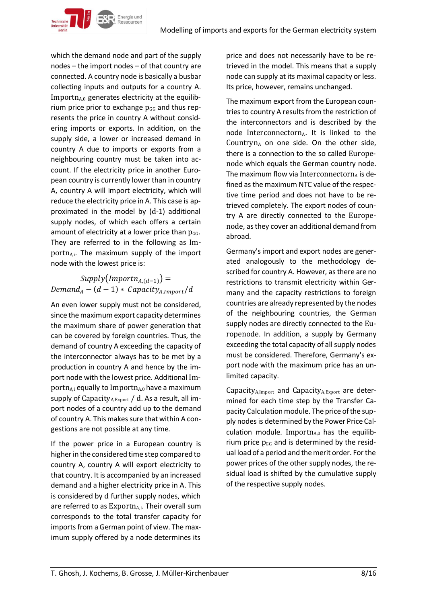which the demand node and part of the supply nodes – the import nodes – of that country are connected. A country node is basically a busbar collecting inputs and outputs for a country A.  $Importn<sub>A,0</sub>$  generates electricity at the equilibrium price prior to exchange  $p_{GG}$  and thus represents the price in country A without considering imports or exports. In addition, on the supply side, a lower or increased demand in country A due to imports or exports from a neighbouring country must be taken into account. If the electricity price in another European country is currently lower than in country A, country A will import electricity, which will reduce the electricity price in A. This case is approximated in the model by (d-1) additional supply nodes, of which each offers a certain amount of electricity at a lower price than  $p_{GG}$ . They are referred to in the following as Importn<sub>A,i</sub>. The maximum supply of the import node with the lowest price is:

Energie und

# $Supply(Important_{A,(d-1)}) =$  $Demand_A - (d-1) * Capacity_{A,Import}/d$

An even lower supply must not be considered, since the maximum export capacity determines the maximum share of power generation that can be covered by foreign countries. Thus, the demand of country A exceeding the capacity of the interconnector always has to be met by a production in country A and hence by the import node with the lowest price. Additional Importn<sub>A,i</sub> equally to Importn<sub>A,0</sub> have a maximum supply of Capacity  $A, E$ <sub>xport</sub> / d. As a result, all import nodes of a country add up to the demand of country A. This makes sure that within A congestions are not possible at any time.

If the power price in a European country is higher in the considered time step compared to country A, country A will export electricity to that country. It is accompanied by an increased demand and a higher electricity price in A. This is considered by d further supply nodes, which are referred to as  $Exporth_{A,i}$ . Their overall sum corresponds to the total transfer capacity for imports from a German point of view. The maximum supply offered by a node determines its

price and does not necessarily have to be retrieved in the model. This means that a supply node can supply at its maximal capacity or less. Its price, however, remains unchanged.

The maximum export from the European countries to country A results from the restriction of the interconnectors and is described by the node Interconnectorn $A$ . It is linked to the Countryn $_A$  on one side. On the other side, there is a connection to the so called Europenode which equals the German country node. The maximum flow via Interconnectorn<sub>A</sub> is defined as the maximum NTC value of the respective time period and does not have to be retrieved completely. The export nodes of country A are directly connected to the Europenode, as they cover an additional demand from abroad.

Germany's import and export nodes are generated analogously to the methodology described for country A. However, as there are no restrictions to transmit electricity within Germany and the capacity restrictions to foreign countries are already represented by the nodes of the neighbouring countries, the German supply nodes are directly connected to the Europenode. In addition, a supply by Germany exceeding the total capacity of all supply nodes must be considered. Therefore, Germany's export node with the maximum price has an unlimited capacity.

Capacity $_{A,Import}$  and Capacity $_{A,Event}$  are determined for each time step by the Transfer Capacity Calculation module. The price of the supply nodes is determined by the Power Price Calculation module. Importn $A_{0}$  has the equilibrium price  $p_{GG}$  and is determined by the residual load of a period and the merit order. For the power prices of the other supply nodes, the residual load is shifted by the cumulative supply of the respective supply nodes.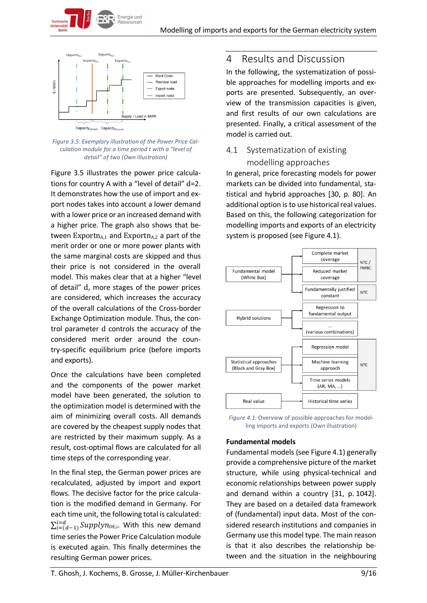

Energie und Ressourcen

*Figure 3.5: Exemplary illustration of the Power Price Calculation module for a time period t with a "level of detail" of two (Own illustration)*

Figure 3.5 illustrates the power price calculations for country A with a "level of detail" d=2. It demonstrates how the use of import and export nodes takes into account a lower demand with a lower price or an increased demand with a higher price. The graph also shows that between  $Experiment_{A,1}$  and  $Experiment_{A,2}$  a part of the merit order or one or more power plants with the same marginal costs are skipped and thus their price is not considered in the overall model. This makes clear that at a higher "level of detail" d, more stages of the power prices are considered, which increases the accuracy of the overall calculations of the Cross-border Exchange Optimization module. Thus, the control parameter d controls the accuracy of the considered merit order around the country-specific equilibrium price (before imports and exports).

Once the calculations have been completed and the components of the power market model have been generated, the solution to the optimization model is determined with the aim of minimizing overall costs. All demands are covered by the cheapest supply nodes that are restricted by their maximum supply. As a result, cost-optimal flows are calculated for all time steps of the corresponding year.

In the final step, the German power prices are recalculated, adjusted by import and export flows. The decisive factor for the price calculation is the modified demand in Germany. For each time unit, the following total is calculated:  $\sum_{i=(d-1)}^{i=d} \mathit{Supplyn}_{\text{DE},i}.$  With this new demand time series the Power Price Calculation module is executed again. This finally determines the resulting German power prices.

# <span id="page-8-0"></span>4 Results and Discussion

In the following, the systematization of possible approaches for modelling imports and exports are presented. Subsequently, an overview of the transmission capacities is given, and first results of our own calculations are presented. Finally, a critical assessment of the model is carried out.

# <span id="page-8-1"></span>4.1 Systematization of existing modelling approaches

In general, price forecasting models for power markets can be divided into fundamental, statistical and hybrid approaches [30, p. 80]. An additional option is to use historical real values. Based on this, the following categorization for modelling imports and exports of an electricity system is proposed (see Figure 4.1).



*Figure 4.1:* Overview of possible approaches for modelling imports and exports (Own illustration)

## **Fundamental models**

Fundamental models (see Figure 4.1) generally provide a comprehensive picture of the market structure, while using physical-technical and economic relationships between power supply and demand within a country [31, p. 1042]. They are based on a detailed data framework of (fundamental) input data. Most of the considered research institutions and companies in Germany use this model type. The main reason is that it also describes the relationship between and the situation in the neighbouring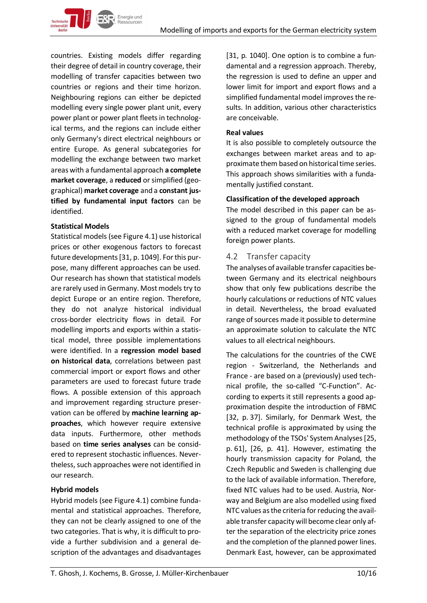

countries. Existing models differ regarding their degree of detail in country coverage, their modelling of transfer capacities between two countries or regions and their time horizon. Neighbouring regions can either be depicted modelling every single power plant unit, every power plant or power plant fleets in technological terms, and the regions can include either only Germany's direct electrical neighbours or entire Europe. As general subcategories for modelling the exchange between two market areas with a fundamental approach **a complete market coverage**, a **reduced** or simplified (geographical) **market coverage** and a **constant justified by fundamental input factors** can be identified.

#### **Statistical Models**

Statistical models(see Figure 4.1) use historical prices or other exogenous factors to forecast future developments [31, p. 1049]. For this purpose, many different approaches can be used. Our research has shown that statistical models are rarely used in Germany. Most models try to depict Europe or an entire region. Therefore, they do not analyze historical individual cross-border electricity flows in detail. For modelling imports and exports within a statistical model, three possible implementations were identified. In a **regression model based on historical data**, correlations between past commercial import or export flows and other parameters are used to forecast future trade flows. A possible extension of this approach and improvement regarding structure preservation can be offered by **machine learning approaches**, which however require extensive data inputs. Furthermore, other methods based on **time series analyses** can be considered to represent stochastic influences. Nevertheless, such approaches were not identified in our research.

#### **Hybrid models**

Hybrid models (see Figure 4.1) combine fundamental and statistical approaches. Therefore, they can not be clearly assigned to one of the two categories. That is why, it is difficult to provide a further subdivision and a general description of the advantages and disadvantages [31, p. 1040]. One option is to combine a fundamental and a regression approach. Thereby, the regression is used to define an upper and lower limit for import and export flows and a simplified fundamental model improves the results. In addition, various other characteristics are conceivable.

#### **Real values**

It is also possible to completely outsource the exchanges between market areas and to approximate them based on historical time series. This approach shows similarities with a fundamentally justified constant.

#### **Classification of the developed approach**

The model described in this paper can be assigned to the group of fundamental models with a reduced market coverage for modelling foreign power plants.

#### <span id="page-9-0"></span>4.2 Transfer capacity

The analyses of available transfer capacities between Germany and its electrical neighbours show that only few publications describe the hourly calculations or reductions of NTC values in detail. Nevertheless, the broad evaluated range of sources made it possible to determine an approximate solution to calculate the NTC values to all electrical neighbours.

The calculations for the countries of the CWE region - Switzerland, the Netherlands and France - are based on a (previously) used technical profile, the so-called "C-Function". According to experts it still represents a good approximation despite the introduction of FBMC [32, p. 37]. Similarly, for Denmark West, the technical profile is approximated by using the methodology of the TSOs' System Analyses[25, p. 61], [26, p. 41]. However, estimating the hourly transmission capacity for Poland, the Czech Republic and Sweden is challenging due to the lack of available information. Therefore, fixed NTC values had to be used. Austria, Norway and Belgium are also modelled using fixed NTC values as the criteria for reducing the available transfer capacity will become clear only after the separation of the electricity price zones and the completion of the planned power lines. Denmark East, however, can be approximated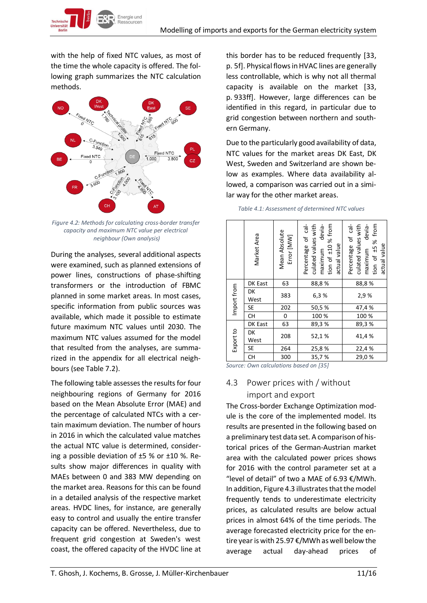Energie und

with the help of fixed NTC values, as most of the time the whole capacity is offered. The following graph summarizes the NTC calculation methods.



*Figure 4.2: Methods for calculating cross-border transfer capacity and maximum NTC value per electrical neighbour (Own analysis)*

During the analyses, several additional aspects were examined, such as planned extensions of power lines, constructions of phase-shifting transformers or the introduction of FBMC planned in some market areas. In most cases, specific information from public sources was available, which made it possible to estimate future maximum NTC values until 2030. The maximum NTC values assumed for the model that resulted from the analyses, are summarized in the appendix for all electrical neighbours (see Table 7.2).

The following table assesses the results for four neighbouring regions of Germany for 2016 based on the Mean Absolute Error (MAE) and the percentage of calculated NTCs with a certain maximum deviation. The number of hours in 2016 in which the calculated value matches the actual NTC value is determined, considering a possible deviation of ±5 % or ±10 %. Results show major differences in quality with MAEs between 0 and 383 MW depending on the market area. Reasons for this can be found in a detailed analysis of the respective market areas. HVDC lines, for instance, are generally easy to control and usually the entire transfer capacity can be offered. Nevertheless, due to frequent grid congestion at Sweden's west coast, the offered capacity of the HVDC line at this border has to be reduced frequently [33, p. 5f]. Physical flows in HVAC lines are generally less controllable, which is why not all thermal capacity is available on the market [33, p. 933ff]. However, large differences can be identified in this regard, in particular due to grid congestion between northern and southern Germany.

Due to the particularly good availability of data, NTC values for the market areas DK East, DK West, Sweden and Switzerland are shown below as examples. Where data availability allowed, a comparison was carried out in a similar way for the other market areas.

|             | Market Area | Mean Absolute<br>Error [MW] | of cal-<br>tion of ±10% from<br>devia-<br>culated values with<br>Percentage<br>actual value<br>maximum | Percentage of cal-<br>tion of ±5 % from<br>devia-<br>culated values with<br>actual value<br>maximum |
|-------------|-------------|-----------------------------|--------------------------------------------------------------------------------------------------------|-----------------------------------------------------------------------------------------------------|
|             | DK East     | 63                          | 88,8%                                                                                                  | 88,8%                                                                                               |
| Import from | DK<br>West  | 383                         | 6,3%                                                                                                   | 2,9%                                                                                                |
|             | <b>SE</b>   | 202                         | 50,5%                                                                                                  | 47,4 %                                                                                              |
|             | <b>CH</b>   | 0                           | 100 %                                                                                                  | 100 %                                                                                               |
|             | DK East     | 63                          | 89,3%                                                                                                  | 89,3%                                                                                               |
| Export to   | DK<br>West  | 208                         | 52,1%                                                                                                  | 41,4%                                                                                               |
|             | <b>SE</b>   | 264                         | 25,8%                                                                                                  | 22,4 %                                                                                              |
|             | <b>CH</b>   | 300                         | 35,7%                                                                                                  | 29,0%                                                                                               |

| Table 4.1: Assessment of determined NTC values |  |  |
|------------------------------------------------|--|--|
|------------------------------------------------|--|--|

*Source: Own calculations based on [35]*

# <span id="page-10-0"></span>4.3 Power prices with / without

## import and export

The Cross-border Exchange Optimization module is the core of the implemented model. Its results are presented in the following based on a preliminary test data set. A comparison of historical prices of the German-Austrian market area with the calculated power prices shows for 2016 with the control parameter set at a "level of detail" of two a MAE of 6.93  $€/MWh$ . In addition, Figure 4.3 illustrates that the model frequently tends to underestimate electricity prices, as calculated results are below actual prices in almost 64% of the time periods. The average forecasted electricity price for the entire year is with 25.97 €/MWh as well below the average actual day-ahead prices of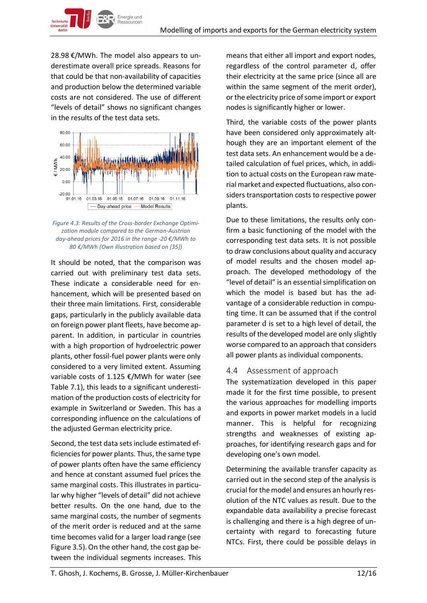28.98 €/MWh. The model also appears to underestimate overall price spreads. Reasons for that could be that non-availability of capacities and production below the determined variable costs are not considered. The use of different "levels of detail" shows no significant changes in the results of the test data sets.



*Figure 4.3: Results of the Cross-border Exchange Optimization module compared to the German-Austrian day-ahead prices for 2016 in the range -20 €/MWh to 80 €/MWh (Own illustration based on [35])*

It should be noted, that the comparison was carried out with preliminary test data sets. These indicate a considerable need for enhancement, which will be presented based on their three main limitations. First, considerable gaps, particularly in the publicly available data on foreign power plant fleets, have become apparent. In addition, in particular in countries with a high proportion of hydroelectric power plants, other fossil-fuel power plants were only considered to a very limited extent. Assuming variable costs of 1.125 €/MWh for water (see Table 7.1), this leads to a significant underestimation of the production costs of electricity for example in Switzerland or Sweden. This has a corresponding influence on the calculations of the adjusted German electricity price.

Second, the test data sets include estimated efficiencies for power plants. Thus, the same type of power plants often have the same efficiency and hence at constant assumed fuel prices the same marginal costs. This illustrates in particular why higher "levels of detail" did not achieve better results. On the one hand, due to the same marginal costs, the number of segments of the merit order is reduced and at the same time becomes valid for a larger load range (see Figure 3.5). On the other hand, the cost gap between the individual segments increases. This means that either all import and export nodes, regardless of the control parameter d, offer their electricity at the same price (since all are within the same segment of the merit order), or the electricity price of some import or export nodes is significantly higher or lower.

Third, the variable costs of the power plants have been considered only approximately although they are an important element of the test data sets. An enhancement would be a detailed calculation of fuel prices, which, in addition to actual costs on the European raw material market and expected fluctuations, also considers transportation costs to respective power plants.

Due to these limitations, the results only confirm a basic functioning of the model with the corresponding test data sets. It is not possible to draw conclusions about quality and accuracy of model results and the chosen model approach. The developed methodology of the "level of detail" is an essential simplification on which the model is based but has the advantage of a considerable reduction in computing time. It can be assumed that if the control parameter d is set to a high level of detail, the results of the developed model are only slightly worse compared to an approach that considers all power plants as individual components.

# <span id="page-11-0"></span>4.4 Assessment of approach

The systematization developed in this paper made it for the first time possible, to present the various approaches for modelling imports and exports in power market models in a lucid manner. This is helpful for recognizing strengths and weaknesses of existing approaches, for identifying research gaps and for developing one's own model.

Determining the available transfer capacity as carried out in the second step of the analysis is crucial for the model and ensures an hourly resolution of the NTC values as result. Due to the expandable data availability a precise forecast is challenging and there is a high degree of uncertainty with regard to forecasting future NTCs. First, there could be possible delays in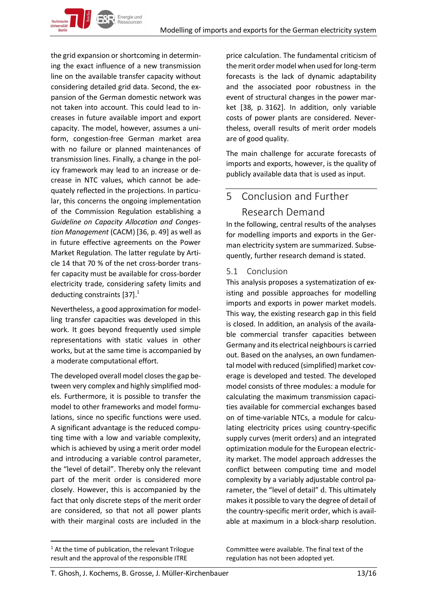the grid expansion or shortcoming in determining the exact influence of a new transmission line on the available transfer capacity without considering detailed grid data. Second, the expansion of the German domestic network was not taken into account. This could lead to increases in future available import and export capacity. The model, however, assumes a uniform, congestion-free German market area with no failure or planned maintenances of transmission lines. Finally, a change in the policy framework may lead to an increase or decrease in NTC values, which cannot be adequately reflected in the projections. In particular, this concerns the ongoing implementation of the Commission Regulation establishing a *Guideline on Capacity Allocation and Congestion Management* (CACM) [36, p. 49] as well as in future effective agreements on the Power Market Regulation. The latter regulate by Article 14 that 70 % of the net cross-border transfer capacity must be available for cross-border electricity trade, considering safety limits and deducting constraints [37]. $^1$ 

Energie und

Nevertheless, a good approximation for modelling transfer capacities was developed in this work. It goes beyond frequently used simple representations with static values in other works, but at the same time is accompanied by a moderate computational effort.

The developed overall model closes the gap between very complex and highly simplified models. Furthermore, it is possible to transfer the model to other frameworks and model formulations, since no specific functions were used. A significant advantage is the reduced computing time with a low and variable complexity, which is achieved by using a merit order model and introducing a variable control parameter, the "level of detail". Thereby only the relevant part of the merit order is considered more closely. However, this is accompanied by the fact that only discrete steps of the merit order are considered, so that not all power plants with their marginal costs are included in the

price calculation. The fundamental criticism of the merit order model when used for long-term forecasts is the lack of dynamic adaptability and the associated poor robustness in the event of structural changes in the power market [38, p. 3162]. In addition, only variable costs of power plants are considered. Nevertheless, overall results of merit order models are of good quality.

The main challenge for accurate forecasts of imports and exports, however, is the quality of publicly available data that is used as input.

# <span id="page-12-0"></span>5 Conclusion and Further

# Research Demand

In the following, central results of the analyses for modelling imports and exports in the German electricity system are summarized. Subsequently, further research demand is stated.

# <span id="page-12-1"></span>5.1 Conclusion

This analysis proposes a systematization of existing and possible approaches for modelling imports and exports in power market models. This way, the existing research gap in this field is closed. In addition, an analysis of the available commercial transfer capacities between Germany and its electrical neighbours is carried out. Based on the analyses, an own fundamental model with reduced (simplified) market coverage is developed and tested. The developed model consists of three modules: a module for calculating the maximum transmission capacities available for commercial exchanges based on of time-variable NTCs, a module for calculating electricity prices using country-specific supply curves (merit orders) and an integrated optimization module for the European electricity market. The model approach addresses the conflict between computing time and model complexity by a variably adjustable control parameter, the "level of detail" d. This ultimately makes it possible to vary the degree of detail of the country-specific merit order, which is available at maximum in a block-sharp resolution.

 $\overline{a}$ 

Committee were available. The final text of the regulation has not been adopted yet.

 $1$  At the time of publication, the relevant Trilogue result and the approval of the responsible ITRE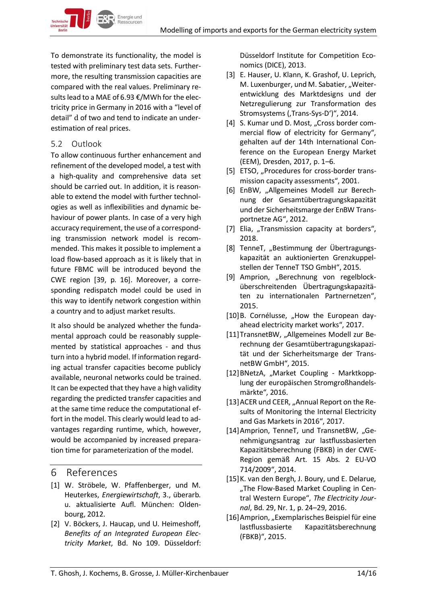

To demonstrate its functionality, the model is tested with preliminary test data sets. Furthermore, the resulting transmission capacities are compared with the real values. Preliminary results lead to a MAE of 6.93 €/MWh for the electricity price in Germany in 2016 with a "level of detail" d of two and tend to indicate an underestimation of real prices.

## <span id="page-13-0"></span>5.2 Outlook

To allow continuous further enhancement and refinement of the developed model, a test with a high-quality and comprehensive data set should be carried out. In addition, it is reasonable to extend the model with further technologies as well as inflexibilities and dynamic behaviour of power plants. In case of a very high accuracy requirement, the use of a corresponding transmission network model is recommended. This makes it possible to implement a load flow-based approach as it is likely that in future FBMC will be introduced beyond the CWE region [39, p. 16]. Moreover, a corresponding redispatch model could be used in this way to identify network congestion within a country and to adjust market results.

It also should be analyzed whether the fundamental approach could be reasonably supplemented by statistical approaches - and thus turn into a hybrid model. If information regarding actual transfer capacities become publicly available, neuronal networks could be trained. It can be expected that they have a high validity regarding the predicted transfer capacities and at the same time reduce the computational effort in the model. This clearly would lead to advantages regarding runtime, which, however, would be accompanied by increased preparation time for parameterization of the model.

# <span id="page-13-1"></span>6 References

- [1] W. Ströbele, W. Pfaffenberger, und M. Heuterkes, *Energiewirtschaft*, 3., überarb. u. aktualisierte Aufl. München: Oldenbourg, 2012.
- [2] V. Böckers, J. Haucap, und U. Heimeshoff, *Benefits of an Integrated European Electricity Market*, Bd. No 109. Düsseldorf:

Düsseldorf Institute for Competition Economics (DICE), 2013.

- [3] E. Hauser, U. Klann, K. Grashof, U. Leprich, M. Luxenburger, und M. Sabatier, "Weiterentwicklung des Marktdesigns und der Netzregulierung zur Transformation des Stromsystems (,Trans-Sys-D')", 2014.
- [4] S. Kumar und D. Most, "Cross border commercial flow of electricity for Germany", gehalten auf der 14th International Conference on the European Energy Market (EEM), Dresden, 2017, p. 1–6.
- [5] ETSO, "Procedures for cross-border transmission capacity assessments", 2001.
- [6] EnBW, "Allgemeines Modell zur Berechnung der Gesamtübertragungskapazität und der Sicherheitsmarge der EnBW Transportnetze AG", 2012.
- [7] Elia, "Transmission capacity at borders", 2018.
- [8] TenneT, "Bestimmung der Übertragungskapazität an auktionierten Grenzkuppelstellen der TenneT TSO GmbH", 2015.
- [9] Amprion, "Berechnung von regelblocküberschreitenden Übertragungskapazitäten zu internationalen Partnernetzen", 2015.
- [10] B. Cornélusse, "How the European dayahead electricity market works", 2017.
- [11]TransnetBW, "Allgemeines Modell zur Berechnung der Gesamtübertragungskapazität und der Sicherheitsmarge der TransnetBW GmbH", 2015.
- [12] BNetzA, "Market Coupling Marktkopplung der europäischen Stromgroßhandelsmärkte", 2016.
- [13] ACER und CEER, "Annual Report on the Results of Monitoring the Internal Electricity and Gas Markets in 2016", 2017.
- [14] Amprion, TenneT, und TransnetBW, "Genehmigungsantrag zur lastflussbasierten Kapazitätsberechnung (FBKB) in der CWE-Region gemäß Art. 15 Abs. 2 EU-VO 714/2009", 2014.
- [15]K. van den Bergh, J. Boury, und E. Delarue, "The Flow-Based Market Coupling in Central Western Europe", *The Electricity Journal*, Bd. 29, Nr. 1, p. 24–29, 2016.
- [16] Amprion, "Exemplarisches Beispiel für eine lastflussbasierte Kapazitätsberechnung (FBKB)", 2015.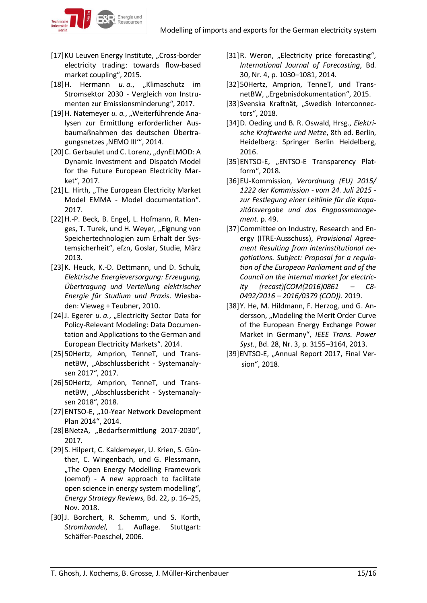

[17] KU Leuven Energy Institute, "Cross-border electricity trading: towards flow-based market coupling", 2015.

Energie und

- [18]H. Hermann *u. a.*, "Klimaschutz im Stromsektor 2030 - Vergleich von Instrumenten zur Emissionsminderung", 2017.
- [19] H. Natemeyer u. a., "Weiterführende Analysen zur Ermittlung erforderlicher Ausbaumaßnahmen des deutschen Übertragungsnetzes ,NEMO III", 2014.
- [20] C. Gerbaulet und C. Lorenz, "dynELMOD: A Dynamic Investment and Dispatch Model for the Future European Electricity Market", 2017.
- [21] L. Hirth, "The European Electricity Market Model EMMA - Model documentation". 2017.
- [22]H.-P. Beck, B. Engel, L. Hofmann, R. Menges, T. Turek, und H. Weyer, "Eignung von Speichertechnologien zum Erhalt der Systemsicherheit", efzn, Goslar, Studie, März 2013.
- [23]K. Heuck, K.-D. Dettmann, und D. Schulz, *Elektrische Energieversorgung: Erzeugung, Übertragung und Verteilung elektrischer Energie für Studium und Praxis*. Wiesbaden: Vieweg + Teubner, 2010.
- [24]J. Egerer *u. a.*, "Electricity Sector Data for Policy-Relevant Modeling: Data Documentation and Applications to the German and European Electricity Markets". 2014.
- [25]50Hertz, Amprion, TenneT, und TransnetBW, "Abschlussbericht - Systemanalysen 2017", 2017.
- [26]50Hertz, Amprion, TenneT, und TransnetBW, "Abschlussbericht - Systemanalysen 2018", 2018.
- [27] ENTSO-E, "10-Year Network Development Plan 2014", 2014.
- [28] BNetzA, "Bedarfsermittlung 2017-2030", 2017.
- [29]S. Hilpert, C. Kaldemeyer, U. Krien, S. Günther, C. Wingenbach, und G. Plessmann, "The Open Energy Modelling Framework (oemof) - A new approach to facilitate open science in energy system modelling", *Energy Strategy Reviews*, Bd. 22, p. 16–25, Nov. 2018.
- [30]J. Borchert, R. Schemm, und S. Korth, *Stromhandel*, 1. Auflage. Stuttgart: Schäffer-Poeschel, 2006.
- [31]R. Weron, "Electricity price forecasting", *International Journal of Forecasting*, Bd. 30, Nr. 4, p. 1030–1081, 2014.
- [32]50Hertz, Amprion, TenneT, und TransnetBW, "Ergebnisdokumentation", 2015.
- [33] Svenska Kraftnät, "Swedish Interconnectors", 2018.
- [34]D. Oeding und B. R. Oswald, Hrsg., *Elektrische Kraftwerke und Netze*, 8th ed. Berlin, Heidelberg: Springer Berlin Heidelberg, 2016.
- [35]ENTSO-E, "ENTSO-E Transparency Platform", 2018.
- [36]EU-Kommission, *Verordnung (EU) 2015/ 1222 der Kommission - vom 24. Juli 2015 zur Festlegung einer Leitlinie für die Kapazitätsvergabe und das Engpassmanagement*. p. 49.
- [37]Committee on Industry, Research and Energy (ITRE-Ausschuss), *Provisional Agreement Resulting from interinstitutional negotiations. Subject: Proposal for a regulation of the European Parliament and of the Council on the internal market for electricity (recast)(COM(2016)0861 – C8- 0492/2016 – 2016/0379 (COD))*. 2019.
- [38]Y. He, M. Hildmann, F. Herzog, und G. Andersson, "Modeling the Merit Order Curve of the European Energy Exchange Power Market in Germany", *IEEE Trans. Power Syst.*, Bd. 28, Nr. 3, p. 3155–3164, 2013.
- [39]ENTSO-E, "Annual Report 2017, Final Version", 2018.